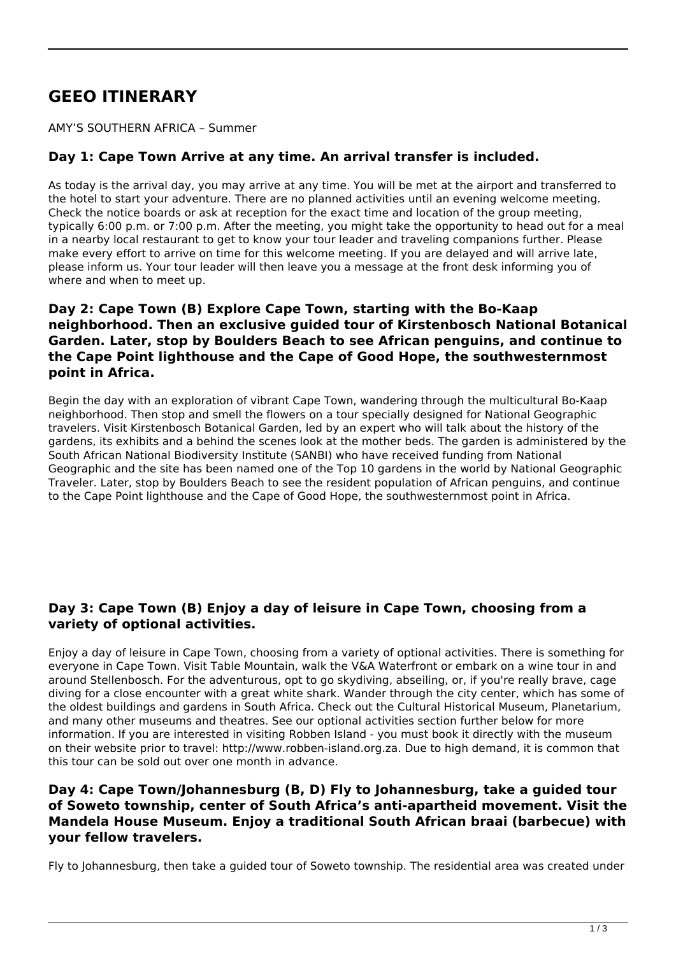# **GEEO ITINERARY**

AMY'S SOUTHERN AFRICA – Summer

### **Day 1: Cape Town Arrive at any time. An arrival transfer is included.**

As today is the arrival day, you may arrive at any time. You will be met at the airport and transferred to the hotel to start your adventure. There are no planned activities until an evening welcome meeting. Check the notice boards or ask at reception for the exact time and location of the group meeting, typically 6:00 p.m. or 7:00 p.m. After the meeting, you might take the opportunity to head out for a meal in a nearby local restaurant to get to know your tour leader and traveling companions further. Please make every effort to arrive on time for this welcome meeting. If you are delayed and will arrive late, please inform us. Your tour leader will then leave you a message at the front desk informing you of where and when to meet up.

#### **Day 2: Cape Town (B) Explore Cape Town, starting with the Bo-Kaap neighborhood. Then an exclusive guided tour of Kirstenbosch National Botanical Garden. Later, stop by Boulders Beach to see African penguins, and continue to the Cape Point lighthouse and the Cape of Good Hope, the southwesternmost point in Africa.**

Begin the day with an exploration of vibrant Cape Town, wandering through the multicultural Bo-Kaap neighborhood. Then stop and smell the flowers on a tour specially designed for National Geographic travelers. Visit Kirstenbosch Botanical Garden, led by an expert who will talk about the history of the gardens, its exhibits and a behind the scenes look at the mother beds. The garden is administered by the South African National Biodiversity Institute (SANBI) who have received funding from National Geographic and the site has been named one of the Top 10 gardens in the world by National Geographic Traveler. Later, stop by Boulders Beach to see the resident population of African penguins, and continue to the Cape Point lighthouse and the Cape of Good Hope, the southwesternmost point in Africa.

#### **Day 3: Cape Town (B) Enjoy a day of leisure in Cape Town, choosing from a variety of optional activities.**

Enjoy a day of leisure in Cape Town, choosing from a variety of optional activities. There is something for everyone in Cape Town. Visit Table Mountain, walk the V&A Waterfront or embark on a wine tour in and around Stellenbosch. For the adventurous, opt to go skydiving, abseiling, or, if you're really brave, cage diving for a close encounter with a great white shark. Wander through the city center, which has some of the oldest buildings and gardens in South Africa. Check out the Cultural Historical Museum, Planetarium, and many other museums and theatres. See our optional activities section further below for more information. If you are interested in visiting Robben Island - you must book it directly with the museum on their website prior to travel: http://www.robben-island.org.za. Due to high demand, it is common that this tour can be sold out over one month in advance.

#### **Day 4: Cape Town/Johannesburg (B, D) Fly to Johannesburg, take a guided tour of Soweto township, center of South Africa's anti-apartheid movement. Visit the Mandela House Museum. Enjoy a traditional South African braai (barbecue) with your fellow travelers.**

Fly to Johannesburg, then take a guided tour of Soweto township. The residential area was created under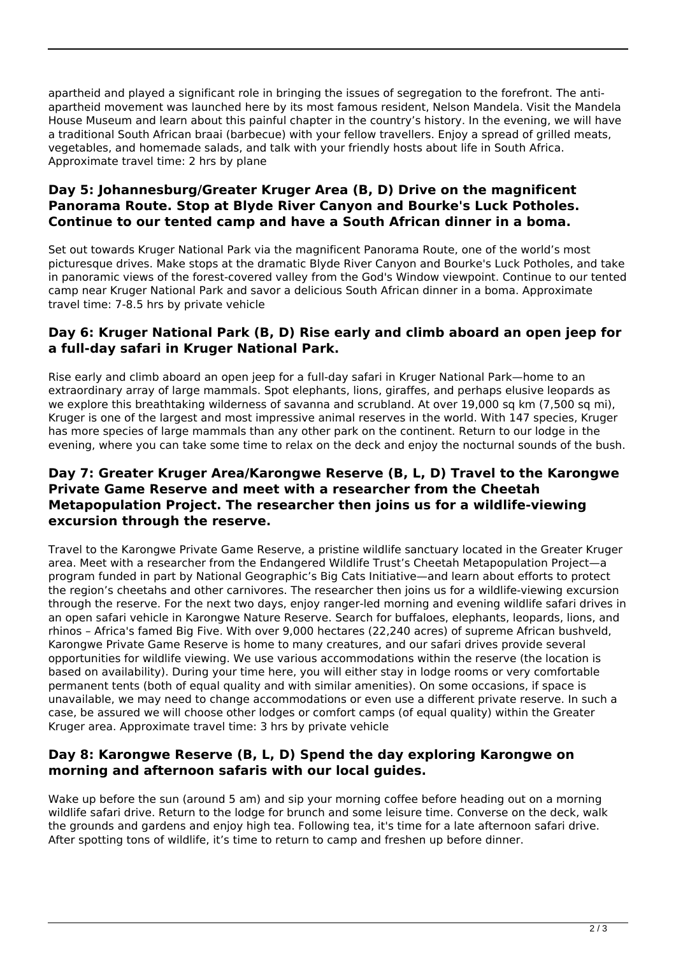apartheid and played a significant role in bringing the issues of segregation to the forefront. The antiapartheid movement was launched here by its most famous resident, Nelson Mandela. Visit the Mandela House Museum and learn about this painful chapter in the country's history. In the evening, we will have a traditional South African braai (barbecue) with your fellow travellers. Enjoy a spread of grilled meats, vegetables, and homemade salads, and talk with your friendly hosts about life in South Africa. Approximate travel time: 2 hrs by plane

#### **Day 5: Johannesburg/Greater Kruger Area (B, D) Drive on the magnificent Panorama Route. Stop at Blyde River Canyon and Bourke's Luck Potholes. Continue to our tented camp and have a South African dinner in a boma.**

Set out towards Kruger National Park via the magnificent Panorama Route, one of the world's most picturesque drives. Make stops at the dramatic Blyde River Canyon and Bourke's Luck Potholes, and take in panoramic views of the forest-covered valley from the God's Window viewpoint. Continue to our tented camp near Kruger National Park and savor a delicious South African dinner in a boma. Approximate travel time: 7-8.5 hrs by private vehicle

#### **Day 6: Kruger National Park (B, D) Rise early and climb aboard an open jeep for a full-day safari in Kruger National Park.**

Rise early and climb aboard an open jeep for a full-day safari in Kruger National Park—home to an extraordinary array of large mammals. Spot elephants, lions, giraffes, and perhaps elusive leopards as we explore this breathtaking wilderness of savanna and scrubland. At over 19,000 sq km (7,500 sq mi), Kruger is one of the largest and most impressive animal reserves in the world. With 147 species, Kruger has more species of large mammals than any other park on the continent. Return to our lodge in the evening, where you can take some time to relax on the deck and enjoy the nocturnal sounds of the bush.

#### **Day 7: Greater Kruger Area/Karongwe Reserve (B, L, D) Travel to the Karongwe Private Game Reserve and meet with a researcher from the Cheetah Metapopulation Project. The researcher then joins us for a wildlife-viewing excursion through the reserve.**

Travel to the Karongwe Private Game Reserve, a pristine wildlife sanctuary located in the Greater Kruger area. Meet with a researcher from the Endangered Wildlife Trust's Cheetah Metapopulation Project—a program funded in part by National Geographic's Big Cats Initiative—and learn about efforts to protect the region's cheetahs and other carnivores. The researcher then joins us for a wildlife-viewing excursion through the reserve. For the next two days, enjoy ranger-led morning and evening wildlife safari drives in an open safari vehicle in Karongwe Nature Reserve. Search for buffaloes, elephants, leopards, lions, and rhinos – Africa's famed Big Five. With over 9,000 hectares (22,240 acres) of supreme African bushveld, Karongwe Private Game Reserve is home to many creatures, and our safari drives provide several opportunities for wildlife viewing. We use various accommodations within the reserve (the location is based on availability). During your time here, you will either stay in lodge rooms or very comfortable permanent tents (both of equal quality and with similar amenities). On some occasions, if space is unavailable, we may need to change accommodations or even use a different private reserve. In such a case, be assured we will choose other lodges or comfort camps (of equal quality) within the Greater Kruger area. Approximate travel time: 3 hrs by private vehicle

#### **Day 8: Karongwe Reserve (B, L, D) Spend the day exploring Karongwe on morning and afternoon safaris with our local guides.**

Wake up before the sun (around 5 am) and sip your morning coffee before heading out on a morning wildlife safari drive. Return to the lodge for brunch and some leisure time. Converse on the deck, walk the grounds and gardens and enjoy high tea. Following tea, it's time for a late afternoon safari drive. After spotting tons of wildlife, it's time to return to camp and freshen up before dinner.